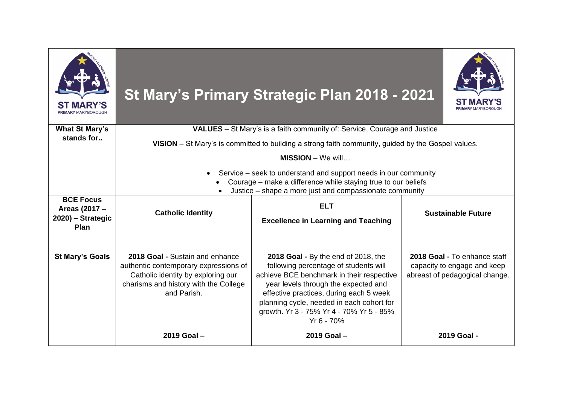|                                                                |                                                                                                                                                                                             | St Mary's Primary Strategic Plan 2018 - 2021                                                                                                                                                                                                                                                                        |                                                                                               |  |
|----------------------------------------------------------------|---------------------------------------------------------------------------------------------------------------------------------------------------------------------------------------------|---------------------------------------------------------------------------------------------------------------------------------------------------------------------------------------------------------------------------------------------------------------------------------------------------------------------|-----------------------------------------------------------------------------------------------|--|
| <b>What St Mary's</b><br>stands for                            | <b>VALUES</b> – St Mary's is a faith community of: Service, Courage and Justice                                                                                                             |                                                                                                                                                                                                                                                                                                                     |                                                                                               |  |
|                                                                | VISION – St Mary's is committed to building a strong faith community, guided by the Gospel values.                                                                                          |                                                                                                                                                                                                                                                                                                                     |                                                                                               |  |
|                                                                | $MISSION - We will$                                                                                                                                                                         |                                                                                                                                                                                                                                                                                                                     |                                                                                               |  |
|                                                                | Service – seek to understand and support needs in our community<br>Courage – make a difference while staying true to our beliefs<br>Justice – shape a more just and compassionate community |                                                                                                                                                                                                                                                                                                                     |                                                                                               |  |
| <b>BCE Focus</b><br>Areas (2017 -<br>2020) - Strategic<br>Plan | <b>Catholic Identity</b>                                                                                                                                                                    | <b>ELT</b><br><b>Excellence in Learning and Teaching</b>                                                                                                                                                                                                                                                            | <b>Sustainable Future</b>                                                                     |  |
| <b>St Mary's Goals</b>                                         | 2018 Goal - Sustain and enhance<br>authentic contemporary expressions of<br>Catholic identity by exploring our<br>charisms and history with the College<br>and Parish.                      | 2018 Goal - By the end of 2018, the<br>following percentage of students will<br>achieve BCE benchmark in their respective<br>year levels through the expected and<br>effective practices, during each 5 week<br>planning cycle, needed in each cohort for<br>growth. Yr 3 - 75% Yr 4 - 70% Yr 5 - 85%<br>Yr 6 - 70% | 2018 Goal - To enhance staff<br>capacity to engage and keep<br>abreast of pedagogical change. |  |
|                                                                | 2019 Goal-                                                                                                                                                                                  | 2019 Goal -                                                                                                                                                                                                                                                                                                         | 2019 Goal -                                                                                   |  |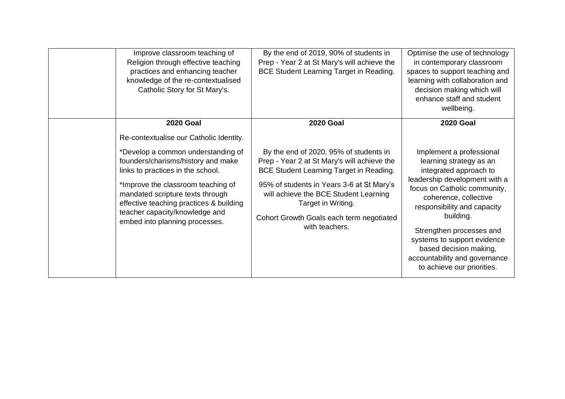| Improve classroom teaching of<br>Religion through effective teaching<br>practices and enhancing teacher<br>knowledge of the re-contextualised<br>Catholic Story for St Mary's.                                                                                                                                                                                        | By the end of 2019, 90% of students in<br>Prep - Year 2 at St Mary's will achieve the<br><b>BCE Student Learning Target in Reading.</b>                                                                                                                                                                                               | Optimise the use of technology<br>in contemporary classroom<br>spaces to support teaching and<br>learning with collaboration and<br>decision making which will<br>enhance staff and student<br>wellbeing.                                                                                                                                                                                   |
|-----------------------------------------------------------------------------------------------------------------------------------------------------------------------------------------------------------------------------------------------------------------------------------------------------------------------------------------------------------------------|---------------------------------------------------------------------------------------------------------------------------------------------------------------------------------------------------------------------------------------------------------------------------------------------------------------------------------------|---------------------------------------------------------------------------------------------------------------------------------------------------------------------------------------------------------------------------------------------------------------------------------------------------------------------------------------------------------------------------------------------|
| <b>2020 Goal</b><br>Re-contextualise our Catholic Identity.<br>*Develop a common understanding of<br>founders/charisms/history and make<br>links to practices in the school.<br>*Improve the classroom teaching of<br>mandated scripture texts through<br>effective teaching practices & building<br>teacher capacity/knowledge and<br>embed into planning processes. | <b>2020 Goal</b><br>By the end of 2020, 95% of students in<br>Prep - Year 2 at St Mary's will achieve the<br><b>BCE Student Learning Target in Reading.</b><br>95% of students in Years 3-6 at St Mary's<br>will achieve the BCE Student Learning<br>Target in Writing.<br>Cohort Growth Goals each term negotiated<br>with teachers. | <b>2020 Goal</b><br>Implement a professional<br>learning strategy as an<br>integrated approach to<br>leadership development with a<br>focus on Catholic community,<br>coherence, collective<br>responsibility and capacity<br>building.<br>Strengthen processes and<br>systems to support evidence<br>based decision making,<br>accountability and governance<br>to achieve our priorities. |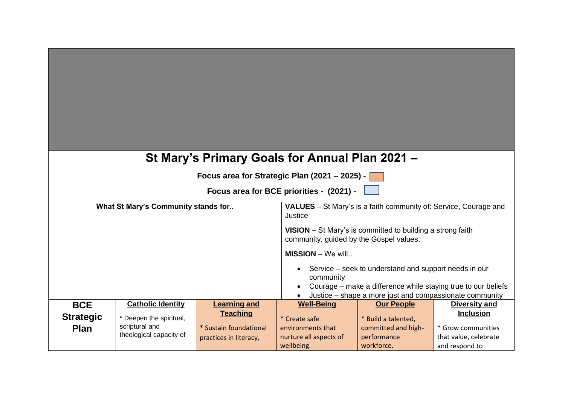| St Mary's Primary Goals for Annual Plan 2021 -<br>Focus area for Strategic Plan (2021 – 2025) -<br>Focus area for BCE priorities - (2021) - |                                                                      |                                                                                                                                                            |                                                                            |                                                                              |                                                                                   |
|---------------------------------------------------------------------------------------------------------------------------------------------|----------------------------------------------------------------------|------------------------------------------------------------------------------------------------------------------------------------------------------------|----------------------------------------------------------------------------|------------------------------------------------------------------------------|-----------------------------------------------------------------------------------|
| What St Mary's Community stands for                                                                                                         |                                                                      | <b>VALUES</b> – St Mary's is a faith community of: Service, Courage and<br>Justice                                                                         |                                                                            |                                                                              |                                                                                   |
|                                                                                                                                             |                                                                      | <b>VISION</b> – St Mary's is committed to building a strong faith<br>community, guided by the Gospel values.                                               |                                                                            |                                                                              |                                                                                   |
|                                                                                                                                             |                                                                      | $MISSION - We will$<br>Service – seek to understand and support needs in our<br>community<br>Courage – make a difference while staying true to our beliefs |                                                                            |                                                                              |                                                                                   |
| <b>BCE</b>                                                                                                                                  | <b>Catholic Identity</b>                                             | <b>Learning and</b>                                                                                                                                        | <b>Well-Being</b>                                                          | Justice – shape a more just and compassionate community<br><b>Our People</b> | <b>Diversity and</b>                                                              |
| <b>Strategic</b><br>Plan                                                                                                                    | * Deepen the spiritual,<br>scriptural and<br>theological capacity of | <b>Teaching</b><br>* Sustain foundational<br>practices in literacy,                                                                                        | * Create safe<br>environments that<br>nurture all aspects of<br>wellbeing. | * Build a talented,<br>committed and high-<br>performance<br>workforce.      | <b>Inclusion</b><br>* Grow communities<br>that value, celebrate<br>and respond to |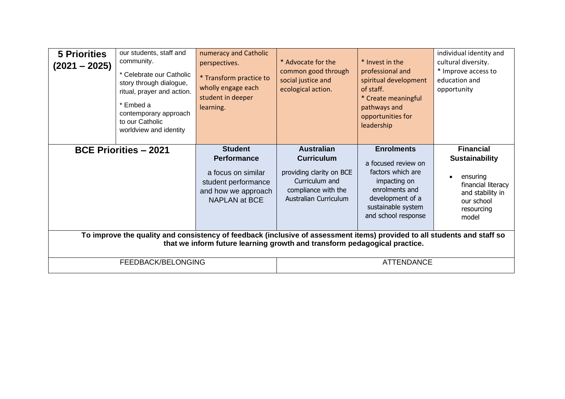| <b>5 Priorities</b><br>$(2021 - 2025)$                                                                                                                                                                                                           | our students, staff and<br>community.<br>* Celebrate our Catholic<br>story through dialogue,<br>ritual, prayer and action.<br>* Embed a<br>contemporary approach<br>to our Catholic<br>worldview and identity | numeracy and Catholic<br>perspectives.<br>* Transform practice to<br>wholly engage each<br>student in deeper<br>learning.        | * Advocate for the<br>common good through<br>social justice and<br>ecological action.                                                       | * Invest in the<br>professional and<br>spiritual development<br>of staff.<br>* Create meaningful<br>pathways and<br>opportunities for<br>leadership              | individual identity and<br>cultural diversity.<br>* Improve access to<br>education and<br>opportunity                                |
|--------------------------------------------------------------------------------------------------------------------------------------------------------------------------------------------------------------------------------------------------|---------------------------------------------------------------------------------------------------------------------------------------------------------------------------------------------------------------|----------------------------------------------------------------------------------------------------------------------------------|---------------------------------------------------------------------------------------------------------------------------------------------|------------------------------------------------------------------------------------------------------------------------------------------------------------------|--------------------------------------------------------------------------------------------------------------------------------------|
|                                                                                                                                                                                                                                                  | <b>BCE Priorities - 2021</b>                                                                                                                                                                                  | <b>Student</b><br><b>Performance</b><br>a focus on similar<br>student performance<br>and how we approach<br><b>NAPLAN at BCE</b> | <b>Australian</b><br><b>Curriculum</b><br>providing clarity on BCE<br>Curriculum and<br>compliance with the<br><b>Australian Curriculum</b> | <b>Enrolments</b><br>a focused review on<br>factors which are<br>impacting on<br>enrolments and<br>development of a<br>sustainable system<br>and school response | <b>Financial</b><br><b>Sustainability</b><br>ensuring<br>financial literacy<br>and stability in<br>our school<br>resourcing<br>model |
| To improve the quality and consistency of feedback (inclusive of assessment items) provided to all students and staff so<br>that we inform future learning growth and transform pedagogical practice.<br>FEEDBACK/BELONGING<br><b>ATTENDANCE</b> |                                                                                                                                                                                                               |                                                                                                                                  |                                                                                                                                             |                                                                                                                                                                  |                                                                                                                                      |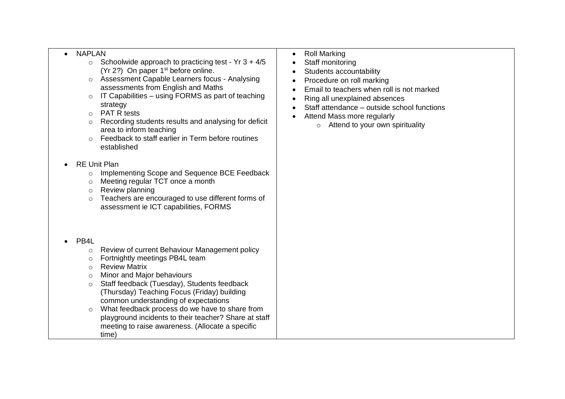## • NAPLAN

- $\circ$  Schoolwide approach to practicing test Yr 3 + 4/5 (Yr 2?) On paper 1<sup>st</sup> before online.
- o Assessment Capable Learners focus Analysing assessments from English and Maths
- $\circ$  IT Capabilities using FORMS as part of teaching strategy
- o PAT R tests
- o Recording students results and analysing for deficit area to inform teaching
- $\circ$  Feedback to staff earlier in Term before routines established
- RE Unit Plan
	- o Implementing Scope and Sequence BCE Feedback
	- o Meeting regular TCT once a month
	- o Review planning
	- o Teachers are encouraged to use different forms of assessment ie ICT capabilities, FORMS
- PB<sub>4</sub>L
	- o Review of current Behaviour Management policy
	- o Fortnightly meetings PB4L team
	- o Review Matrix
	- o Minor and Major behaviours
	- o Staff feedback (Tuesday), Students feedback (Thursday) Teaching Focus (Friday) building common understanding of expectations
	- o What feedback process do we have to share from playground incidents to their teacher? Share at staff meeting to raise awareness. (Allocate a specific time)
- Roll Marking
- Staff monitoring
- Students accountability
- Procedure on roll marking
- Email to teachers when roll is not marked
- Ring all unexplained absences
- Staff attendance outside school functions
- Attend Mass more regularly
	- $\circ$  Attend to your own spirituality